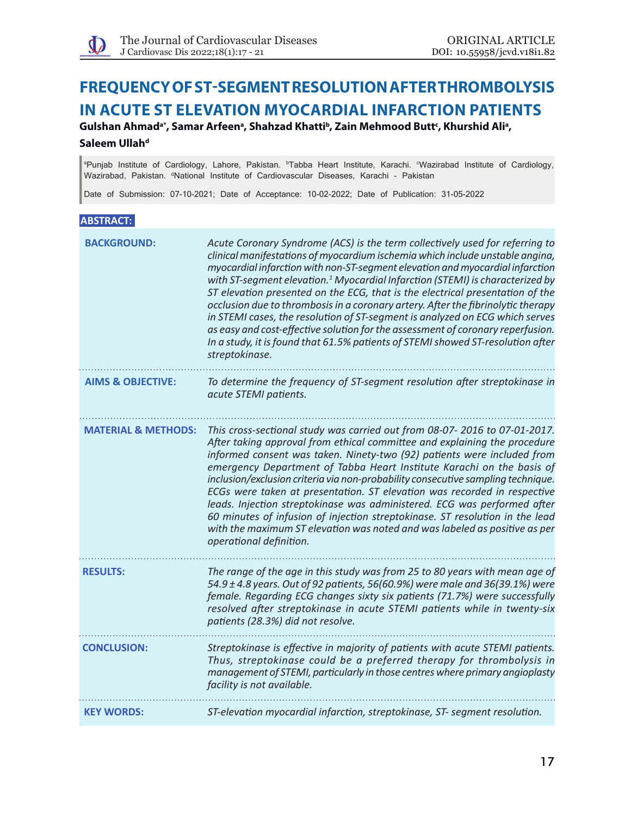# **Frequency of ST-segment resolution after thrombolysis in acute ST elevation myocardial infarction patients**

Gulshan Ahmad<sup>a\*</sup>, Samar Arfeen<sup>a</sup>, Shahzad Khatti<sup>b</sup>, Zain Mehmood Butt<sup>c</sup>, Khurshid Ali<sup>a</sup>, **Saleem Ullah<sup>d</sup>** 

<sup>a</sup>Punjab Institute of Cardiology, Lahore, Pakistan. <sup>b</sup>Tabba Heart Institute, Karachi. <sup>«</sup>Wazirabad Institute of Cardiology, Wazirabad, Pakistan. <sup>«</sup>National Institute of Cardiovascular Diseases, Karachi - Pakistan

Date of Submission: 07-10-2021; Date of Acceptance: 10-02-2022; Date of Publication: 31-05-2022

# **ABSTRACT:**

| <b>BACKGROUND:</b>             | Acute Coronary Syndrome (ACS) is the term collectively used for referring to<br>clinical manifestations of myocardium ischemia which include unstable angina,<br>myocardial infarction with non-ST-segment elevation and myocardial infarction<br>with ST-segment elevation. <sup>1</sup> Myocardial Infarction (STEMI) is characterized by<br>ST elevation presented on the ECG, that is the electrical presentation of the<br>occlusion due to thrombosis in a coronary artery. After the fibrinolytic therapy<br>in STEMI cases, the resolution of ST-segment is analyzed on ECG which serves<br>as easy and cost-effective solution for the assessment of coronary reperfusion.<br>In a study, it is found that 61.5% patients of STEMI showed ST-resolution after<br>streptokinase. |
|--------------------------------|------------------------------------------------------------------------------------------------------------------------------------------------------------------------------------------------------------------------------------------------------------------------------------------------------------------------------------------------------------------------------------------------------------------------------------------------------------------------------------------------------------------------------------------------------------------------------------------------------------------------------------------------------------------------------------------------------------------------------------------------------------------------------------------|
| <b>AIMS &amp; OBJECTIVE:</b>   | To determine the frequency of ST-segment resolution after streptokinase in<br>acute STEMI patients.                                                                                                                                                                                                                                                                                                                                                                                                                                                                                                                                                                                                                                                                                      |
| <b>MATERIAL &amp; METHODS:</b> | This cross-sectional study was carried out from 08-07- 2016 to 07-01-2017.<br>After taking approval from ethical committee and explaining the procedure<br>informed consent was taken. Ninety-two (92) patients were included from<br>emergency Department of Tabba Heart Institute Karachi on the basis of<br>inclusion/exclusion criteria via non-probability consecutive sampling technique.<br>ECGs were taken at presentation. ST elevation was recorded in respective<br>leads. Injection streptokinase was administered. ECG was performed after<br>60 minutes of infusion of injection streptokinase. ST resolution in the lead<br>with the maximum ST elevation was noted and was labeled as positive as per<br>operational definition.                                         |
| <b>RESULTS:</b>                | The range of the age in this study was from 25 to 80 years with mean age of<br>54.9 ± 4.8 years. Out of 92 patients, 56(60.9%) were male and 36(39.1%) were<br>female. Regarding ECG changes sixty six patients (71.7%) were successfully<br>resolved after streptokinase in acute STEMI patients while in twenty-six<br>patients (28.3%) did not resolve.                                                                                                                                                                                                                                                                                                                                                                                                                               |
| <b>CONCLUSION:</b>             | Streptokinase is effective in majority of patients with acute STEMI patients.<br>Thus, streptokinase could be a preferred therapy for thrombolysis in<br>management of STEMI, particularly in those centres where primary angioplasty<br>facility is not available.                                                                                                                                                                                                                                                                                                                                                                                                                                                                                                                      |
| <b>KEY WORDS:</b>              | ST-elevation myocardial infarction, streptokinase, ST- segment resolution.                                                                                                                                                                                                                                                                                                                                                                                                                                                                                                                                                                                                                                                                                                               |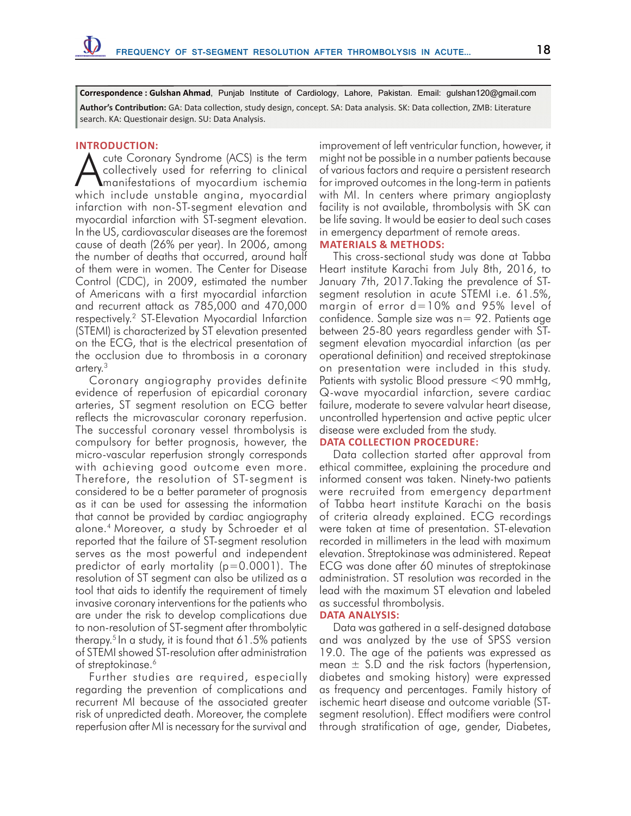**Correspondence : Gulshan Ahmad**, Punjab Institute of Cardiology, Lahore, Pakistan. Email: gulshan120@gmail.com **Author's Contribution:** GA: Data collection, study design, concept. SA: Data analysis. SK: Data collection, ZMB: Literature search. KA: Questionair design. SU: Data Analysis.

#### **INTRODUCTION:**

cute Coronary Syndrome (ACS) is the term collectively used for referring to clinical manifestations of myocardium ischemia which include unstable angina, myocardial infarction with non-ST-segment elevation and myocardial infarction with ST-segment elevation. In the US, cardiovascular diseases are the foremost cause of death (26% per year). In 2006, among the number of deaths that occurred, around half of them were in women. The Center for Disease Control (CDC), in 2009, estimated the number of Americans with a first myocardial infarction and recurrent attack as 785,000 and 470,000 respectively.2 ST-Elevation Myocardial Infarction (STEMI) is characterized by ST elevation presented on the ECG, that is the electrical presentation of the occlusion due to thrombosis in a coronary artery.3

Coronary angiography provides definite evidence of reperfusion of epicardial coronary arteries, ST segment resolution on ECG better reflects the microvascular coronary reperfusion. The successful coronary vessel thrombolysis is compulsory for better prognosis, however, the micro-vascular reperfusion strongly corresponds with achieving good outcome even more. Therefore, the resolution of ST-segment is considered to be a better parameter of prognosis as it can be used for assessing the information that cannot be provided by cardiac angiography alone.4 Moreover, a study by Schroeder et al reported that the failure of ST-segment resolution serves as the most powerful and independent predictor of early mortality (p=0.0001). The resolution of ST segment can also be utilized as a tool that aids to identify the requirement of timely invasive coronary interventions for the patients who are under the risk to develop complications due to non-resolution of ST-segment after thrombolytic therapy.5 In a study, it is found that 61.5% patients of STEMI showed ST-resolution after administration of streptokinase.<sup>6</sup>

Further studies are required, especially regarding the prevention of complications and recurrent MI because of the associated greater risk of unpredicted death. Moreover, the complete reperfusion after MI is necessary for the survival and

improvement of left ventricular function, however, it might not be possible in a number patients because of various factors and require a persistent research for improved outcomes in the long-term in patients with MI. In centers where primary angioplasty facility is not available, thrombolysis with SK can be life saving. It would be easier to deal such cases in emergency department of remote areas.

#### **MATERIALS & METHODS:**

This cross-sectional study was done at Tabba Heart institute Karachi from July 8th, 2016, to January 7th, 2017.Taking the prevalence of STsegment resolution in acute STEMI i.e. 61.5%, margin of error d=10% and 95% level of confidence. Sample size was n= 92. Patients age between 25-80 years regardless gender with STsegment elevation myocardial infarction (as per operational definition) and received streptokinase on presentation were included in this study. Patients with systolic Blood pressure <90 mmHg, Q-wave myocardial infarction, severe cardiac failure, moderate to severe valvular heart disease, uncontrolled hypertension and active peptic ulcer disease were excluded from the study.

### **Data Collection Procedure:**

Data collection started after approval from ethical committee, explaining the procedure and informed consent was taken. Ninety-two patients were recruited from emergency department of Tabba heart institute Karachi on the basis of criteria already explained. ECG recordings were taken at time of presentation. ST-elevation recorded in millimeters in the lead with maximum elevation. Streptokinase was administered. Repeat ECG was done after 60 minutes of streptokinase administration. ST resolution was recorded in the lead with the maximum ST elevation and labeled as successful thrombolysis.

#### **Data Analysis:**

Data was gathered in a self-designed database and was analyzed by the use of SPSS version 19.0. The age of the patients was expressed as mean  $\pm$  S.D and the risk factors (hypertension, diabetes and smoking history) were expressed as frequency and percentages. Family history of ischemic heart disease and outcome variable (STsegment resolution). Effect modifiers were control through stratification of age, gender, Diabetes,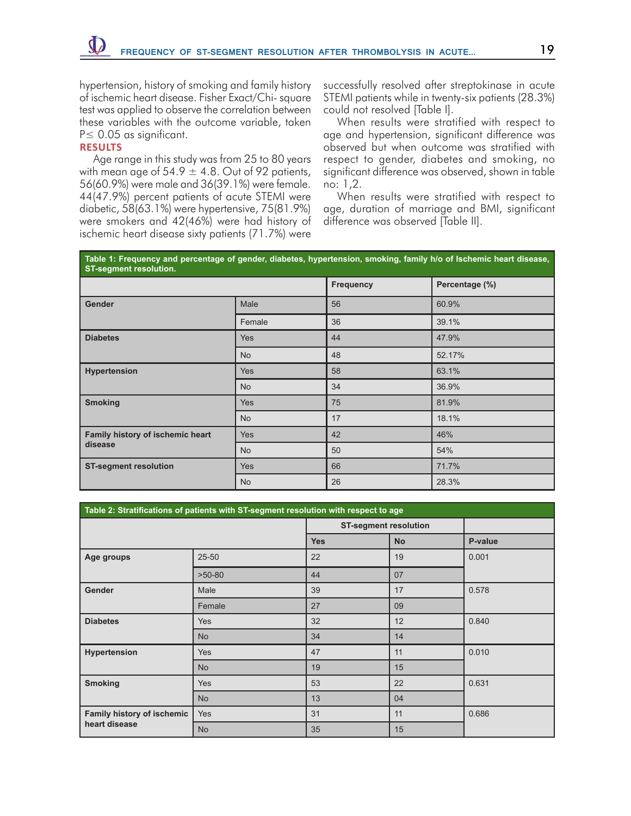hypertension, history of smoking and family history of ischemic heart disease. Fisher Exact/Chi- square test was applied to observe the correlation between these variables with the outcome variable, taken P≤ 0.05 as significant.

# **RESULTS**

Age range in this study was from 25 to 80 years with mean age of 54.9  $\pm$  4.8. Out of 92 patients, 56(60.9%) were male and 36(39.1%) were female. 44(47.9%) percent patients of acute STEMI were diabetic, 58(63.1%) were hypertensive, 75(81.9%) were smokers and 42(46%) were had history of ischemic heart disease sixty patients (71.7%) were

successfully resolved after streptokinase in acute STEMI patients while in twenty-six patients (28.3%) could not resolved [Table I].

When results were stratified with respect to age and hypertension, significant difference was observed but when outcome was stratified with respect to gender, diabetes and smoking, no significant difference was observed, shown in table no: 1,2.

When results were stratified with respect to age, duration of marriage and BMI, significant difference was observed [Table II].

| Table 1: Frequency and percentage of gender, diabetes, hypertension, smoking, family h/o of Ischemic heart disease,<br><b>ST-segment resolution.</b> |            |           |                |  |  |  |
|------------------------------------------------------------------------------------------------------------------------------------------------------|------------|-----------|----------------|--|--|--|
|                                                                                                                                                      |            | Frequency | Percentage (%) |  |  |  |
| <b>Gender</b>                                                                                                                                        | Male       | 56        | 60.9%          |  |  |  |
|                                                                                                                                                      | Female     | 36        | 39.1%          |  |  |  |
| <b>Diabetes</b>                                                                                                                                      | <b>Yes</b> | 44        | 47.9%          |  |  |  |
|                                                                                                                                                      | <b>No</b>  | 48        | 52.17%         |  |  |  |
| <b>Hypertension</b>                                                                                                                                  | <b>Yes</b> | 58        | 63.1%          |  |  |  |
|                                                                                                                                                      | <b>No</b>  | 34        | 36.9%          |  |  |  |
| <b>Smoking</b>                                                                                                                                       | <b>Yes</b> | 75        | 81.9%          |  |  |  |
|                                                                                                                                                      | <b>No</b>  | 17        | 18.1%          |  |  |  |
| Family history of ischemic heart                                                                                                                     | <b>Yes</b> | 42        | 46%            |  |  |  |
| disease                                                                                                                                              | <b>No</b>  | 50        | 54%            |  |  |  |
| <b>ST-segment resolution</b>                                                                                                                         | <b>Yes</b> | 66        | 71.7%          |  |  |  |
|                                                                                                                                                      | <b>No</b>  | 26        | 28.3%          |  |  |  |

| Table 2: Stratifications of patients with ST-segment resolution with respect to age |            |                              |           |         |  |  |  |  |
|-------------------------------------------------------------------------------------|------------|------------------------------|-----------|---------|--|--|--|--|
|                                                                                     |            | <b>ST-segment resolution</b> |           |         |  |  |  |  |
|                                                                                     |            | <b>Yes</b>                   | <b>No</b> | P-value |  |  |  |  |
| Age groups                                                                          | $25 - 50$  | 22                           | 19        | 0.001   |  |  |  |  |
|                                                                                     | $>50-80$   | 44                           | 07        |         |  |  |  |  |
| Gender                                                                              | Male       | 39                           | 17        | 0.578   |  |  |  |  |
|                                                                                     | Female     | 27                           | 09        |         |  |  |  |  |
| <b>Diabetes</b>                                                                     | Yes        | 32                           | 12        | 0.840   |  |  |  |  |
|                                                                                     | <b>No</b>  | 34                           | 14        |         |  |  |  |  |
| Hypertension                                                                        | <b>Yes</b> | 47                           | 11        | 0.010   |  |  |  |  |
|                                                                                     | <b>No</b>  | 19                           | 15        |         |  |  |  |  |
| <b>Smoking</b>                                                                      | <b>Yes</b> | 53                           | 22        | 0.631   |  |  |  |  |
|                                                                                     | <b>No</b>  | 13                           | 04        |         |  |  |  |  |
| <b>Family history of ischemic</b><br>heart disease                                  | <b>Yes</b> | 31                           | 11        | 0.686   |  |  |  |  |
|                                                                                     | <b>No</b>  | 35                           | 15        |         |  |  |  |  |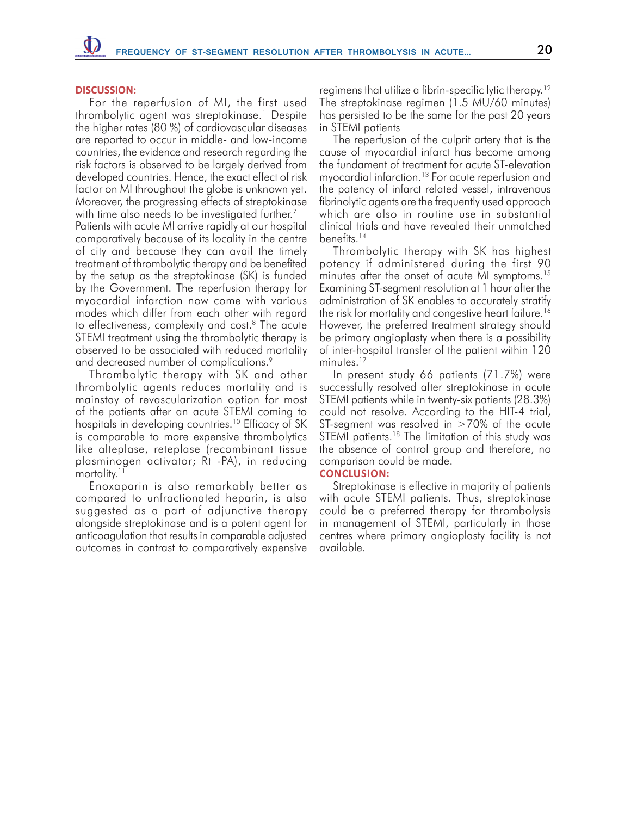#### **DISCUSSION:**

For the reperfusion of MI, the first used thrombolytic agent was streptokinase.<sup>1</sup> Despite the higher rates (80 %) of cardiovascular diseases are reported to occur in middle- and low-income countries, the evidence and research regarding the risk factors is observed to be largely derived from developed countries. Hence, the exact effect of risk factor on MI throughout the globe is unknown yet. Moreover, the progressing effects of streptokinase with time also needs to be investigated further.<sup>7</sup>

Patients with acute MI arrive rapidly at our hospital comparatively because of its locality in the centre of city and because they can avail the timely treatment of thrombolytic therapy and be benefited by the setup as the streptokinase (SK) is funded by the Government. The reperfusion therapy for myocardial infarction now come with various modes which differ from each other with regard to effectiveness, complexity and cost.<sup>8</sup> The acute STEMI treatment using the thrombolytic therapy is observed to be associated with reduced mortality and decreased number of complications.<sup>9</sup>

Thrombolytic therapy with SK and other thrombolytic agents reduces mortality and is mainstay of revascularization option for most of the patients after an acute STEMI coming to hospitals in developing countries.<sup>10</sup> Efficacy of SK is comparable to more expensive thrombolytics like alteplase, reteplase (recombinant tissue plasminogen activator; Rt -PA), in reducing mortality.<sup>11</sup>

Enoxaparin is also remarkably better as compared to unfractionated heparin, is also suggested as a part of adjunctive therapy alongside streptokinase and is a potent agent for anticoagulation that results in comparable adjusted outcomes in contrast to comparatively expensive

regimens that utilize a fibrin-specific lytic therapy.<sup>12</sup> The streptokinase regimen (1.5 MU/60 minutes) has persisted to be the same for the past 20 years in STEMI patients

The reperfusion of the culprit artery that is the cause of myocardial infarct has become among the fundament of treatment for acute ST-elevation myocardial infarction.<sup>13</sup> For acute reperfusion and the patency of infarct related vessel, intravenous fibrinolytic agents are the frequently used approach which are also in routine use in substantial clinical trials and have revealed their unmatched benefits.<sup>14</sup>

Thrombolytic therapy with SK has highest potency if administered during the first 90 minutes after the onset of acute MI symptoms.<sup>15</sup> Examining ST-segment resolution at 1 hour after the administration of SK enables to accurately stratify the risk for mortality and congestive heart failure.16 However, the preferred treatment strategy should be primary angioplasty when there is a possibility of inter-hospital transfer of the patient within 120 minutes.<sup>17</sup>

In present study 66 patients (71.7%) were successfully resolved after streptokinase in acute STEMI patients while in twenty-six patients (28.3%) could not resolve. According to the HIT-4 trial, ST-segment was resolved in >70% of the acute STEMI patients.<sup>18</sup> The limitation of this study was the absence of control group and therefore, no comparison could be made.

# **CONCLUSION:**

Streptokinase is effective in majority of patients with acute STEMI patients. Thus, streptokinase could be a preferred therapy for thrombolysis in management of STEMI, particularly in those centres where primary angioplasty facility is not available.